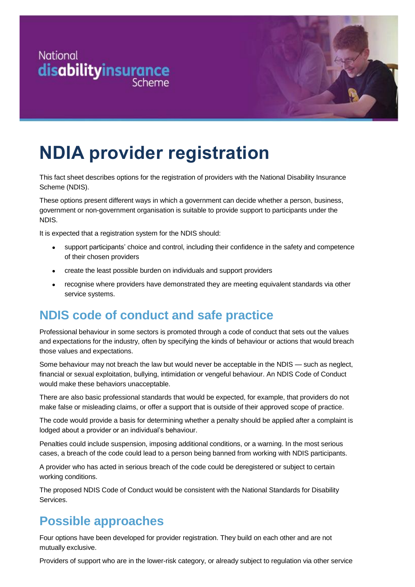



# **NDIA provider registration**

This fact sheet describes options for the registration of providers with the National Disability Insurance Scheme (NDIS).

These options present different ways in which a government can decide whether a person, business, government or non-government organisation is suitable to provide support to participants under the NDIS.

It is expected that a registration system for the NDIS should:

- support participants' choice and control, including their confidence in the safety and competence of their chosen providers
- create the least possible burden on individuals and support providers
- recognise where providers have demonstrated they are meeting equivalent standards via other service systems.

## **NDIS code of conduct and safe practice**

Professional behaviour in some sectors is promoted through a code of conduct that sets out the values and expectations for the industry, often by specifying the kinds of behaviour or actions that would breach those values and expectations.

Some behaviour may not breach the law but would never be acceptable in the NDIS — such as neglect, financial or sexual exploitation, bullying, intimidation or vengeful behaviour. An NDIS Code of Conduct would make these behaviors unacceptable.

There are also basic professional standards that would be expected, for example, that providers do not make false or misleading claims, or offer a support that is outside of their approved scope of practice.

The code would provide a basis for determining whether a penalty should be applied after a complaint is lodged about a provider or an individual's behaviour.

Penalties could include suspension, imposing additional conditions, or a warning. In the most serious cases, a breach of the code could lead to a person being banned from working with NDIS participants.

A provider who has acted in serious breach of the code could be deregistered or subject to certain working conditions.

The proposed NDIS Code of Conduct would be consistent with the National Standards for Disability Services.

## **Possible approaches**

Four options have been developed for provider registration. They build on each other and are not mutually exclusive.

Providers of support who are in the lower-risk category, or already subject to regulation via other service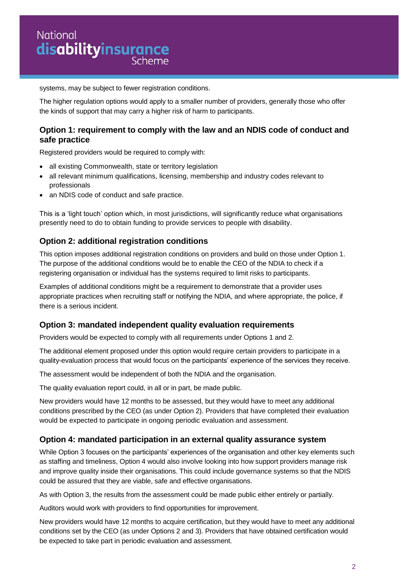## **National** disabilityinsurance

systems, may be subject to fewer registration conditions.

The higher regulation options would apply to a smaller number of providers, generally those who offer the kinds of support that may carry a higher risk of harm to participants.

#### **Option 1: requirement to comply with the law and an NDIS code of conduct and safe practice**

Registered providers would be required to comply with:

- all existing Commonwealth, state or territory legislation
- all relevant minimum qualifications, licensing, membership and industry codes relevant to professionals
- an NDIS code of conduct and safe practice.

This is a 'light touch' option which, in most jurisdictions, will significantly reduce what organisations presently need to do to obtain funding to provide services to people with disability.

#### **Option 2: additional registration conditions**

This option imposes additional registration conditions on providers and build on those under Option 1. The purpose of the additional conditions would be to enable the CEO of the NDIA to check if a registering organisation or individual has the systems required to limit risks to participants.

Examples of additional conditions might be a requirement to demonstrate that a provider uses appropriate practices when recruiting staff or notifying the NDIA, and where appropriate, the police, if there is a serious incident.

#### **Option 3: mandated independent quality evaluation requirements**

Providers would be expected to comply with all requirements under Options 1 and 2.

The additional element proposed under this option would require certain providers to participate in a quality-evaluation process that would focus on the participants' experience of the services they receive.

The assessment would be independent of both the NDIA and the organisation.

The quality evaluation report could, in all or in part, be made public.

New providers would have 12 months to be assessed, but they would have to meet any additional conditions prescribed by the CEO (as under Option 2). Providers that have completed their evaluation would be expected to participate in ongoing periodic evaluation and assessment.

#### **Option 4: mandated participation in an external quality assurance system**

While Option 3 focuses on the participants' experiences of the organisation and other key elements such as staffing and timeliness, Option 4 would also involve looking into how support providers manage risk and improve quality inside their organisations. This could include governance systems so that the NDIS could be assured that they are viable, safe and effective organisations.

As with Option 3, the results from the assessment could be made public either entirely or partially.

Auditors would work with providers to find opportunities for improvement.

New providers would have 12 months to acquire certification, but they would have to meet any additional conditions set by the CEO (as under Options 2 and 3). Providers that have obtained certification would be expected to take part in periodic evaluation and assessment.